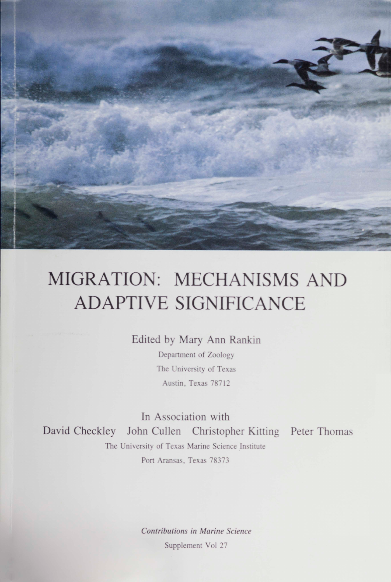MIGRATION: MECHANISMS AND **ADAPTIVE SIGNIFICANCE** 

Edited by Mary Ann Rankin

Department of Zoology The University of Texas Austin, Texas 78712

In Association with David Checkley John Cullen Christopher Kitting Peter Thomas The University of Texas Marine Science Institute Port Aransas, Texas 78373

> Contributions in Marine Science Supplement Vol 27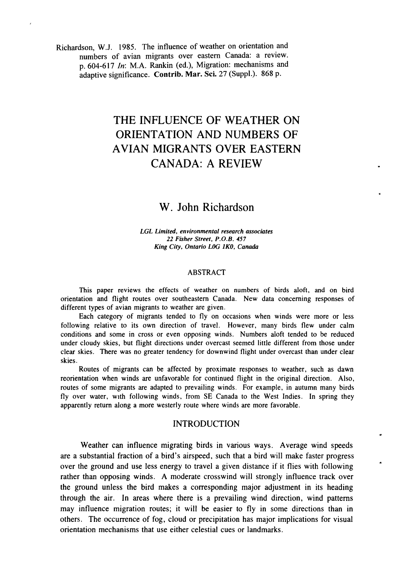Richardson, W.J. 1985. The influence of weather on orientation and numbers of avian migrants over eastern Canada: a review. p. 604-617 *In:* M.A. Rankin (ed.), Migration: mechanisms and adaptive significance. Contrib. Mar. Sci. 27 (Suppl.). 868 p.

# THE INFLUENCE OF WEATHER ON ORIENTATION AND NUMBERS OF AVIAN MIGRANTS OVER EASTERN CANADA: A REVIEW

## W. John Richardson

*LGL Limited. environmental research associates 22 Fisher Street. P.O.B. 457 King City. Ontario LOG lKO. Canada*

#### ABSTRACT

This paper reviews the effects of weather on numbers of birds aloft, and on bird orientation and flight routes over southeastern Canada. New data concerning responses of different types of avian migrants to weather are given.

Each category of migrants tended to fly on occasions when winds were more or less following relative to its own direction of travel. However, many birds flew under calm conditions and some in cross or even opposing winds. Numbers aloft tended to be reduced under cloudy skies, but flight directions under overcast seemed little different from those under clear skies. There was no greater tendency for downwind flight under overcast than under clear skies.

Routes of migrants can be affected by proximate responses to weather, such as dawn reorientation when winds are unfavorable for continued flight in the original direction. Also, routes of some migrants are adapted to prevailing winds. For example, in autumn many birds fly over water, WIth following winds, from SE Canada to the West Indies. In spring they apparently return along a more westerly route where winds are more favorable.

#### INTRODUCTION

Weather can influence migrating birds in various ways. Average wind speeds are a substantial fraction of a bird's airspeed, such that a bird will make faster progress over the ground and use less energy to travel a given distance if it flies with following rather than opposing winds. A moderate crosswind will strongly influence track over the ground unless the bird makes a corresponding major adjustment in its heading through the air. In areas where there is a prevailing wind direction, wind patterns may influence migration routes; it will be easier to fly in some directions than in others. The occurrence of fog, cloud or precipitation has major implications for visual orientation mechanisms that use either celestial cues or landmarks.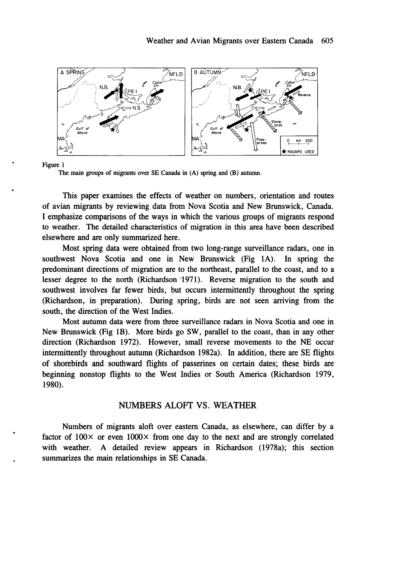

The main groups of migrants over SE Canada in (A) spring and (B) autumn.

This paper examines the effects of weather on numbers, orientation and routes of avian migrants by reviewing data from Nova Scotia and New Brunswick, Canada. I emphasize comparisons of the ways in which the various groups of migrants respond to weather. The detailed characteristics of migration in this area have been described elsewhere and are only summarized here.

Most spring data were obtained from two long-range surveillance radars, one in southwest Nova Scotia and one in New Brunswick (Fig lA). In spring the predominant directions of migration are to the northeast, parallel to the coast, and to a lesser degree to the north (Richardson '1971). Reverse migration to the south and southwest involves far fewer birds, but occurs intermittently throughout the spring (Richardson, in preparation). During spring, birds are not seen arriving from the south, the direction of the West Indies.

Most autumn data were from three surveillance radars in Nova Scotia and one in New Brunswick (Fig IB). More birds go SW, parallel to the coast, than in any other direction (Richardson 1972). However, small reverse movements to the NE occur intermittently throughout autumn (Richardson 1982a). In addition, there are SE flights of shorebirds and southward flights of passerines on certain dates; these birds are beginning nonstop flights to the West Indies or South America (Richardson 1979, 1980).

#### NUMBERS ALOFf VS. WEATHER

Numbers of migrants aloft over eastern Canada, as elsewhere, can differ by a factor of  $100 \times$  or even  $1000 \times$  from one day to the next and are strongly correlated with weather. A detailed review appears in Richardson (1978a); this section summarizes the main relationships in SE Canada.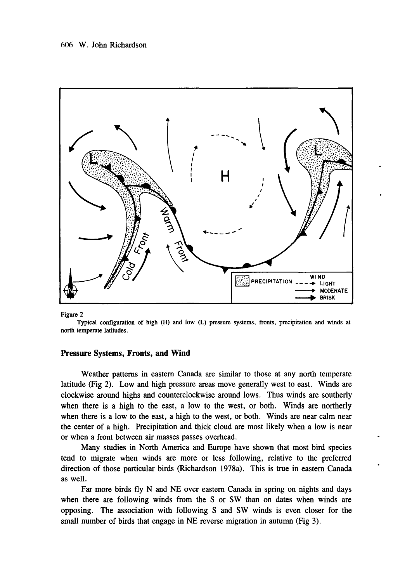

Typical configuration of high (H) and low (L) pressure systems. fronts. precipitation and winds at north temperate latitudes.

#### Pressure Systems, Fronts, **and Wind**

Weather patterns in eastern Canada are similar to those at any north temperate latitude (Fig 2). Low and high pressure areas move generally west to east. Winds are clockwise around highs and counterclockwise around lows. Thus winds are southerly when there is a high to the east, a low to the west, or both. Winds are northerly when there is a low to the east, a high to the west, or both. Winds are near calm near the center of a high. Precipitation and thick cloud are most likely when a low is near or when a front between air masses passes overhead.

Many studies in North America and Europe have shown that most bird species tend to migrate when winds are more or less following, relative to the preferred direction of those particular birds (Richardson 1978a). This is true in eastern Canada as well.

Far more birds fly N and NE over eastern Canada in spring on nights and days when there are following winds from the S or SW than on dates when winds are opposing. The association with following S and SW winds is even closer for the small number of birds that engage in NE reverse migration in autumn (Fig 3).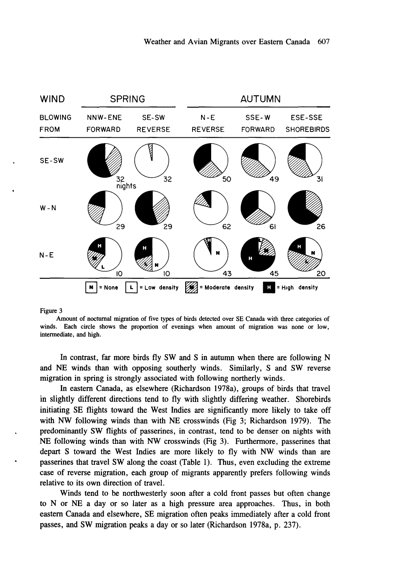

Amount of nocturnal migration of five types of birds detected over SE Canada with three categories of winds. Each circle shows the proportion of evenings when amount of migration was none or low, intermediate, and high.

In contrast, far more birds fly SW and S in autumn when there are following N and NE winds than with opposing southerly winds. Similarly, S and SW reverse migration in spring is strongly associated with following northerly winds.

In eastern Canada, as elsewhere (Richardson 1978a), groups of birds that travel in slightly different directions tend to fly with slightly differing weather. Shorebirds initiating SE flights toward the West Indies are significantly more likely to take off with NW following winds than with NE crosswinds (Fig 3; Richardson 1979). The predominantly SW flights of passerines, in contrast, tend to be denser on nights with NE following winds than with NW crosswinds (Fig 3). Furthermore, passerines that depart S toward the West Indies are more likely to fly with NW winds than are passerines that travel SW along the coast (Table 1). Thus, even excluding the extreme case of reverse migration, each group of migrants apparently prefers following winds relative to its own direction of travel.

Winds tend to be northwesterly soon after a cold front passes but often change to N or NE a day or so later as a high pressure area approaches. Thus, in both eastern Canada and elsewhere, SE migration often peaks immediately after a cold front passes, and SW migration peaks a day or so later (Richardson 1978a, p. 237).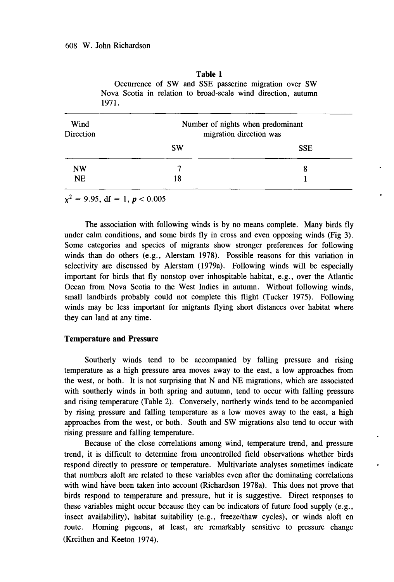| 1971              |                                                              |            |  |  |
|-------------------|--------------------------------------------------------------|------------|--|--|
| Wind<br>Direction | Number of nights when predominant<br>migration direction was |            |  |  |
|                   | <b>SW</b>                                                    | <b>SSE</b> |  |  |
| <b>NW</b>         |                                                              | 8          |  |  |
| <b>NE</b>         | 18                                                           |            |  |  |

**Table 1** Occurrence of SW and SSE passerine migration over SW Nova Scotia in relation to broad-scale wind direction, autumn

 $\chi^2 = 9.95$ , df = 1,  $p < 0.005$ 

The association with following winds is by no means complete. Many birds fly under calm conditions, and some birds fly in cross and even opposing winds (Fig 3). Some categories and species of migrants show stronger preferences for following winds than do others (e.g., Alerstam 1978). Possible reasons for this variation in selectivity are discussed by Alerstam (l979a). Following winds will be especially important for birds that fly nonstop over inhospitable habitat, e.g., over the Atlantic Ocean from Nova Scotia to the West Indies in autumn. Without following winds, small landbirds probably could not complete this flight (Tucker 1975). Following winds may be less important for migrants flying short distances over habitat where they can land at any time.

### **Temperature and Pressure**

Southerly winds tend to be accompanied by falling pressure and rising temperature as a high pressure area moves away to the east, a low approaches from the west, or both. **It** is not surprising that N and NE migrations, which are associated with southerly winds in both spring and autumn, tend to occur with falling pressure and rising temperature (Table 2). Conversely, northerly winds tend to be accompanied by rising pressure and falling temperature as a low moves away to the east, a high approaches from the west, or both. South and SW migrations also tend to occur with rising pressure and falling temperature.

Because of the close correlations among wind, temperature trend, and pressure trend, it is difficult to detennine from uncontrolled field observations whether birds respond directly to pressure or temperature. Multivariate analyses sometimes indicate that numbers aloft are related to these variables even after the dominating correlations with wind have been taken into account (Richardson 1978a). This does not prove that birds respond to temperature and pressure, but it is suggestive. Direct responses to these variables might occur because they can be indicators of future food supply (e.g., insect availability), habitat suitability (e.g., freeze/thaw cycles), or winds aloft en route. Homing pigeons, at least, are remarkably sensitive to pressure change (Kreithen and Keeton 1974).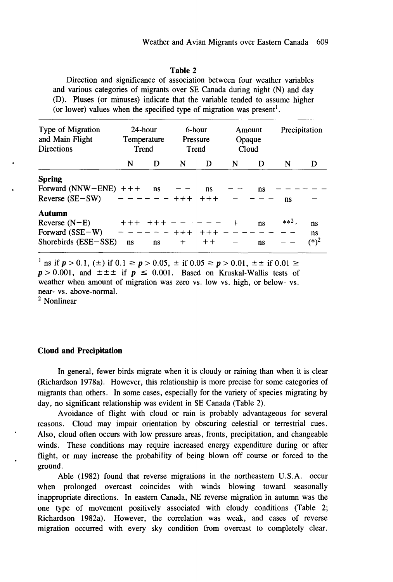#### **Table** 2

Direction and significance of association between four weather variables and various categories of migrants over SE Canada during night (N) and day (D). Pluses (or minuses) indicate that the variable tended to assume higher (or lower) values when the specified type of migration was present<sup>1</sup>.

| Type of Migration<br>24-hour<br>and Main Flight<br>Temperature<br><b>Directions</b><br>Trend |             |                      | 6-hour<br>Pressure<br>Trend |                | Amount<br>Opaque<br>Cloud |          | Precipitation |                     |  |
|----------------------------------------------------------------------------------------------|-------------|----------------------|-----------------------------|----------------|---------------------------|----------|---------------|---------------------|--|
|                                                                                              | N           | D                    | N                           | D              | N                         | D        | N             | D                   |  |
| <b>Spring</b><br>Forward (NNW-ENE) $++$<br>Reverse $(SE-SW)$                                 |             | ns<br>- - -- - - +++ |                             | ns<br>$++++$   |                           | ns       | ns            |                     |  |
| Autumn<br>Reverse $(N-E)$<br>Forward $(SSE-W)$<br>Shorebirds (ESE-SSE)                       | $+++$<br>ns | ns                   | $+ + +$<br>$\div$           | $++++$<br>$++$ |                           | ns<br>ns | $**2$ .       | ns<br>ns<br>$(*)^2$ |  |

<sup>1</sup> ns if  $p > 0.1$ , ( $\pm$ ) if  $0.1 \ge p > 0.05$ ,  $\pm$  if  $0.05 \ge p > 0.01$ ,  $\pm \pm$  if  $0.01 \ge$  $p > 0.001$ , and  $\pm \pm \pm$  if  $p \le 0.001$ . Based on Kruskal-Wallis tests of weather when amount of migration was zero vs. low vs. high, or below- vs. near- vs. above-normal.

<sup>2</sup> Nonlinear

#### **Cloud and Precipitation**

In general, fewer birds migrate when it is cloudy or raining than when it is clear (Richardson 1978a). However, this relationship is more precise for some categories of migrants than others. In some cases, especially for the variety of species migrating by day, no significant relationship was evident in SE Canada (Table 2).

Avoidance of flight with cloud or rain is probably advantageous for several reasons. Cloud may impair orientation by obscuring celestial or terrestrial cues. Also, cloud often occurs with low pressure areas, fronts, precipitation, and changeable winds. These conditions may require increased energy expenditure during or after flight, or may increase the probability of being blown off course or forced to the ground.

Able (1982) found that reverse migrations in the northeastern U.S.A. occur when prolonged overcast coincides with winds blowing toward seasonally inappropriate directions. In eastern Canada, NE reverse migration in autumn was the one type of movement positively associated with cloudy conditions (Table 2; Richardson 1982a). However, the correlation was weak, and cases of reverse migration occurred with every sky condition from overcast to completely clear.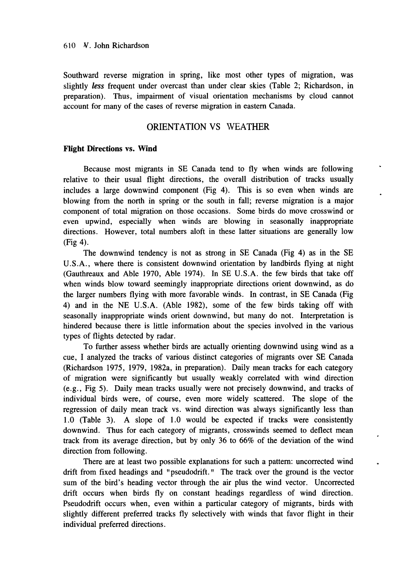Southward reverse migration in spring, like most other types of migration, was slightly *less* frequent under overcast than under clear skies (Table 2; Richardson, in preparation). Thus, impairment of visual orientation mechanisms by cloud cannot account for many of the cases of reverse migration in eastern Canada.

### ORIENTATION VS WEATHER

#### **Flight Directions** vs. **Wind**

Because most migrants in SE Canada tend to fly when winds are following relative to their usual flight directions, the overall distribution of tracks usually includes a large downwind component (Fig 4). This is so even when winds are blowing from the north in spring or the south in fall; reverse migration is a major component of total migration on those occasions. Some birds do move crosswind or even upwind, especially when winds are blowing in seasonally inappropriate directions. However, total numbers aloft in these latter situations are generally low (Fig 4).

The downwind tendency is not as strong in SE Canada (Fig 4) as in the SE U.S.A., where there is consistent downwind orientation by landbirds flying at night (Gauthreaux and Able 1970, Able 1974). In SE U.S.A. the few birds that take off when winds blow toward seemingly inappropriate directions orient downwind, as do the larger numbers flying with more favorable winds. In contrast, in SE Canada (Fig 4) and in the NE U.S.A. (Able 1982), some of the few birds taking off with seasonally inappropriate winds orient downwind, but many do not. Interpretation is hindered because there is little information about the species involved in the various types of flights detected by radar.

To further assess whether birds are actually orienting downwind using wind as a cue, I analyzed the tracks of various distinct categories of migrants over SE Canada (Richardson 1975, 1979, 1982a, in preparation). Daily mean tracks for each category of migration were significantly but usually weakly correlated with wind direction (e.g., Fig 5). Daily mean tracks usually were not precisely downwind, and tracks of individual birds were, of course, even more widely scattered. The slope of the regression of daily mean track vs. wind direction was always significantly less than 1.0 (Table 3). A slope of 1.0 would be expected if tracks were consistently downwind. Thus for each category of migrants, crosswinds seemed to deflect mean track from its average direction, but by only 36 to 66% of the deviation of the wind direction from following.

There are at least two possible explanations for such a pattern: uncorrected wind drift from fixed headings and "pseudodrift." The track over the ground is the vector sum of the bird's heading vector through the air plus the wind vector. Uncorrected drift occurs when birds fly on constant headings regardless of wind direction. Pseudodrift occurs when, even within a particular category of migrants, birds with slightly different preferred tracks fly selectively with winds that favor flight in their individual preferred directions.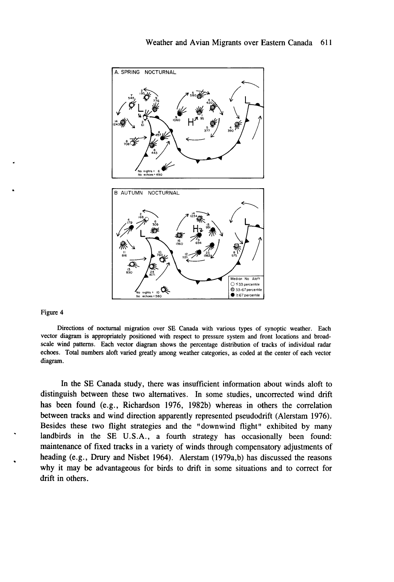

Directions of nocturnal migration over SE Canada with various types of synoptic weather. Each vector diagram is appropriately positioned with respect to pressure system and front locations and broadscale wind patterns. Each vector diagram shows the percentage distribution of tracks of individual radar echoes. Total numbers aloft varied greatly among weather categories, as coded at the center of each vector diagram.

In the SE Canada study, there was insufficient information about winds aloft to distinguish between these two alternatives. In some studies, uncorrected wind drift has been found (e.g., Richardson 1976, 1982b) whereas in others the correlation between tracks and wind direction apparently represented pseudodrift (Alerstam 1976). Besides these two flight strategies and the "downwind flight" exhibited by many landbirds in the SE U.S.A., a fourth strategy has occasionally been found: maintenance of fixed tracks in a variety of winds through compensatory adjustments of heading (e.g., Drury and Nisbet 1964). Alerstam (1979a,b) has discussed the reasons why it may be advantageous for birds to drift in some situations and to correct for drift in others.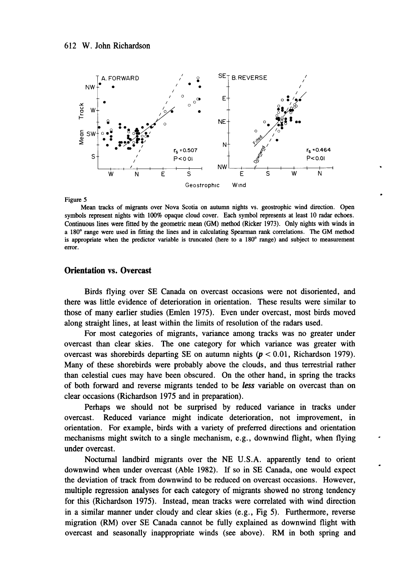

Mean tracks of migrants over Nova Scotia on autumn nights vs. geostrophic wind direction. Open symbols represent nights with 100% opaque cloud cover. Each symbol represents at least 10 radar echoes. Continuous lines were fitted by the geometric mean (GM) method (Ricker 1973). Only nights with winds in a 180<sup>0</sup> range were used in fitting the lines and in calculating Spearman rank correlations. The GM method is appropriate when the predictor variable is truncated (here to a  $180^\circ$  range) and subject to measurement error.

#### **Orientation** vs. **Overcast**

Birds flying over SE Canada on overcast occasions were not disoriented, and there was little evidence of deterioration in orientation. These results were similar to those of many earlier studies (Emlen 1975). Even under overcast, most birds moved along straight lines, at least within the limits of resolution of the radars used.

For most categories of migrants, variance among tracks was no greater under overcast than clear skies. The one category for which variance was greater with overcast was shorebirds departing SE on autumn nights *(p* < 0.01, Richardson 1979). Many of these shorebirds were probably above the clouds, and thus terrestrial rather than celestial cues may have been obscured. On the other hand, in spring the tracks of both forward and reverse migrants tended to be *less* variable on overcast than on clear occasions (Richardson 1975 and in preparation).

Perhaps we should not be surprised by reduced variance in tracks under overcast. Reduced variance might indicate deterioration, not improvement, in orientation. For example, birds with a variety of preferred directions and orientation mechanisms might switch to a single mechanism, e.g., downwind flight, when flying under overcast.

Nocturnal landbird migrants over the NE U.S.A. apparently tend to orient downwind when under overcast (Able 1982). If so in SE Canada, one would expect the deviation of track from downwind to be reduced on overcast occasions. However, multiple regression analyses for each category of migrants showed no strong tendency for this (Richardson 1975). Instead, mean tracks were correlated with wind direction in a similar manner under cloudy and clear skies (e.g., Fig 5). Furthermore, reverse migration (RM) over SE Canada cannot be fully explained as downwind flight with overcast and seasonally inappropriate winds (see above). RM in both spring and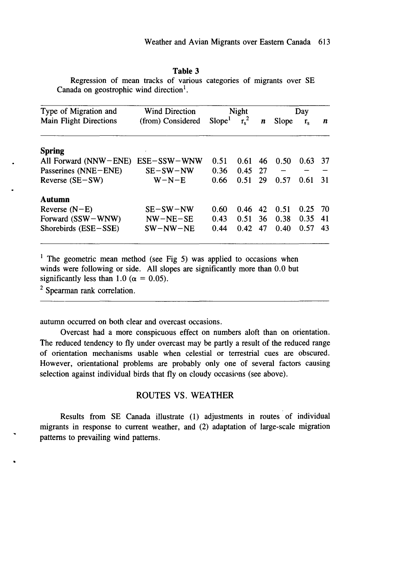#### **Table** 3

Regression of mean tracks of various categories of migrants over SE Canada on geostrophic wind direction<sup>1</sup>.

| Type of Migration and         | <b>Wind Direction</b> | <b>Night</b>       |         |    | Day   |         |     |
|-------------------------------|-----------------------|--------------------|---------|----|-------|---------|-----|
| <b>Main Flight Directions</b> | (from) Considered     | Slope <sup>1</sup> | $r_s^2$ | n  | Slope | $r_{s}$ | n   |
| <b>Spring</b>                 |                       |                    |         |    |       |         |     |
| All Forward (NNW-ENE)         | $ESE-SSW-WNW$         | 0.51               | 0.61    | 46 | 0.50  | 0.63    | -37 |
| Passerines (NNE-ENE)          | SE-SW-NW              | 0.36               | 0.45    | 27 |       |         |     |
| Reverse $(SE-SW)$             | $W-N-E$               | 0.66               | 0.51    | 29 | 0.57  | 0.61    | 31  |
| Autumn                        |                       |                    |         |    |       |         |     |
| Reverse $(N-E)$               | $SE-SW-NW$            | 0.60               | 0.46    | 42 | 0.51  | 0.25    | 70  |
| Forward (SSW-WNW)             | $NW-NE-SE$            | 0.43               | 0.51    | 36 | 0.38  | 0.35    | 41  |
| Shorebirds $(ESE - SSE)$      | $SW-NW-NE$            | 0.44               | 0.42    | 47 | 0.40  | 0.57    | 43  |

<sup>1</sup> The geometric mean method (see Fig 5) was applied to occasions when winds were following or side. All slopes are significantly more than 0.0 but significantly less than 1.0 ( $\alpha = 0.05$ ).

<sup>2</sup> Spearman rank correlation.

autumn occurred on both clear and overcast occasions.

Overcast had a more conspicuous effect on numbers aloft than on orientation. The reduced tendency to fly under overcast may be partly a result of the reduced range of orientation mechanisms usable when celestial or terrestrial cues are obscured. However, orientational problems are probably only one of several factors causing selection against individual birds that fly on cloudy occasions (see above).

## ROUTES VS. WEATHER

Results from SE Canada illustrate (1) adjustments in routes of individual migrants in response to current weather, and (2) adaptation of large-scale migration patterns to prevailing wind patterns.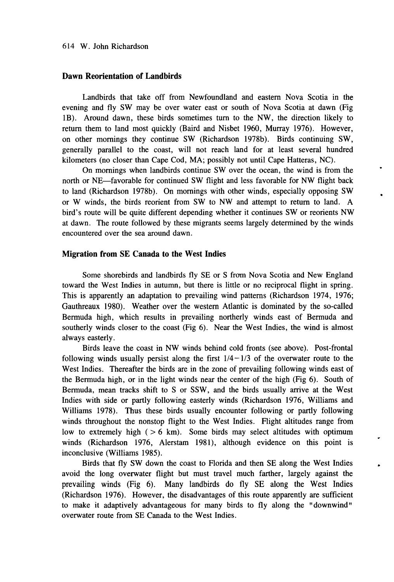#### Dawn Reorientation of Landbirds

Landbirds that take off from Newfoundland and eastern Nova Scotia in the evening and fly SW may be over water east or south of Nova Scotia at dawn (Fig IB). Around dawn, these birds sometimes tum to the NW, the direction likely to return them to land most quickly (Baird and Nisbet 1960, Murray 1976). However, on other mornings they continue SW (Richardson 1978b). Birds continuing SW, generally parallel to the coast, will not reach land for at least several hundred kilometers (no closer than Cape Cod, MA; possibly not until Cape Hatteras, NC).

On mornings when landbirds continue SW over the ocean, the wind is from the north or NE-favorable for continued SW flight and less favorable for NW flight back to land (Richardson 1978b). On mornings with other winds, especially opposing SW or W winds, the birds reorient from SW to NW and attempt to return to land. A bird's route will be quite different depending whether it continues SW or reorients NW at dawn. The route followed by these migrants seems largely determined by the winds encountered over the sea around dawn.

#### Migration from SE Canada to the West Indies

Some shorebirds and landbirds fly SE or S from Nova Scotia and New England toward the West Indies in autumn, but there is little or no reciprocal flight in spring. This is apparently an adaptation to prevailing wind patterns (Richardson 1974, 1976; Gauthreaux 1980). Weather over the western Atlantic is dominated by the so-called Bermuda high, which results in prevailing northerly winds east of Bermuda and southerly winds closer to the coast (Fig 6). Near the West Indies, the wind is almost always easterly.

Birds leave the coast in NW winds behind cold fronts (see above). Post-frontal following winds usually persist along the first  $1/4-1/3$  of the overwater route to the West Indies. Thereafter the birds are in the zone of prevailing following winds east of the Bermuda high, or in the light winds near the center of the high (Fig 6). South of Bermuda, mean tracks shift to S or SSW, and the birds usually arrive at the West Indies with side or partly following easterly winds (Richardson 1976, Williams and Williams 1978). Thus these birds usually encounter following or partly following winds throughout the nonstop flight to the West Indies. Flight altitudes range from low to extremely high  $(> 6 \text{ km})$ . Some birds may select altitudes with optimum winds (Richardson 1976, Alerstam 1981), although evidence on this point is inconclusive (Williams 1985).

Birds that fly SW down the coast to Florida and then SE along the West Indies avoid the long overwater flight but must travel much farther, largely against the prevailing winds (Fig 6). Many landbirds do fly SE along the West Indies (Richardson 1976). However, the disadvantages of this route apparently are sufficient to make it adaptively advantageous for many birds to fly along the "downwind" overwater route from SE Canada to the West Indies.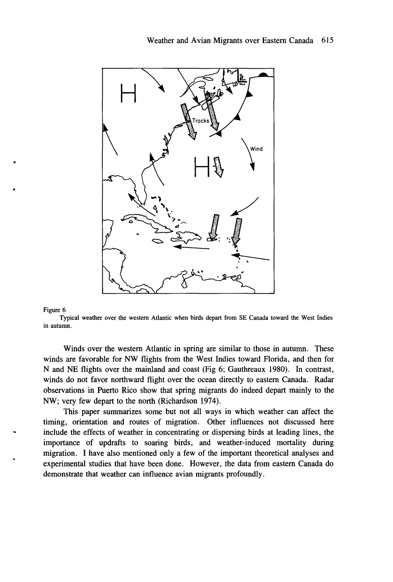

Typical weather over the western Atlantic when birds depart from SE Canada toward the West Indies in autumn.

Winds over the western Atlantic in spring are similar to those in autumn. These winds are favorable for NW flights from the West Indies toward Florida, and then for N and NE flights over the mainland and coast (Fig 6; Gauthreaux 1980). In contrast, winds do not favor northward flight over the ocean directly to eastern Canada. Radar observations in Puerto Rico show that spring migrants do indeed depart mainly to the NW; very few depart to the north (Richardson 1974).

This paper summarizes some but not all ways in which weather can affect the timing, orientation and routes of migration. Other influences not discussed here include the effects of weather in concentrating or dispersing birds at leading lines, the importance of updrafts to soaring birds, and weather-induced mortality during migration. I have also mentioned only a few of the important theoretical analyses and experimental studies that have been done. However, the data from eastern Canada do demonstrate that weather can influence avian migrants profoundly.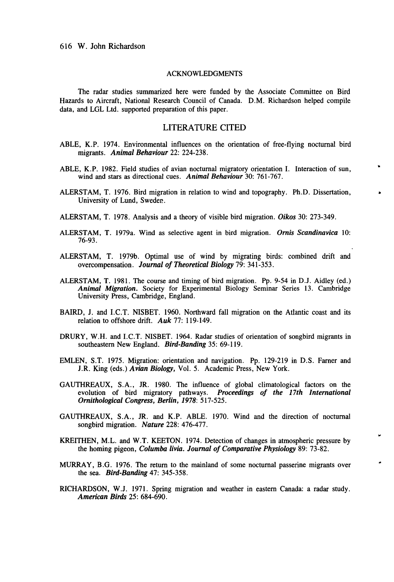#### ACKNOWLEDGMENTS

The radar studies summarized here were funded by the Associate Committee on Bird Hazards to Aircraft, National Research Council of Canada. D.M. Richardson helped compile data, and LGL Ltd. supported preparation of this paper.

#### LITERATURE CITED

- ABLE, K.P. 1974. Environmental influences on the orientation of free-flying nocturnal bird migrants. *Animal Behaviour* 22: 224-238.
- ABLE, K.P. 1982. Field studies of avian nocturnal migratory orientation I. Interaction of sun, wind and stars as directional cues. *Animal Behaviour* 30: 761-767.
- ALERSTAM, T. 1976. Bird migration in relation to wind and topography. Ph.D. Dissertation, University of Lund, Sweder..
- ALERSTAM, T. 1978. Analysis and a theory of visible bird migration. *Oikos* 30: 273-349.
- ALERSTAM, T. 1979a. Wind as selective agent in bird migration. *Ornis Scandinavica 10:* 76-93.
- ALERSTAM, T. 1979b. Optimal use of wind by migrating birds: combined drift and overcompensation. *Journal of Theoretical Biology* 79: 341-353.
- ALERSTAM, T. 1981. The course and timing of bird migration. pp. 9-54 in D.J. Aidley (ed.) *Animal Migration.* Society for Experimental Biology Seminar Series 13. Cambridge University Press, Cambridge, England.
- BAIRD, J. and I.C.T. NISBET. 1960. Northward fall migration on the Atlantic coast and its relation to offshore drift. *Auk* 77: 119-149.
- DRURY, W.H. and I.C.T. NISBET. 1964. Radar studies of orientation of songbird migrants in southeastern New England. *Bird-Banding* 35: 69-119.
- EMLEN, S.T. 1975. Migration: orientation and navigation. Pp. 129-219 in D.S. Farner and J.R. King (eds.) *Avian Biology,* Vol. 5. Academic Press, New York.
- GAUTHREAUX, S.A., JR. 1980. The influence of global climatological factors on the evolution of bird migratory pathways. *Proceedings of the 17th International Ornithological Congress, Berlin,* 1978: 517-525.
- GAUTHREAUX, S.A., JR. and K.P. ABLE. 1970. Wind and the direction of nocturnal songbird migration. *Nature* 228: 476-477.
- KREITHEN, M.L. and W.T. KEETON. 1974. Detection of changes in atmospheric pressure by the homing pigeon, *Columba livia. Journal of Comparative Physiology* 89: 73-82.
- MURRAY, B.G. 1976. The return to the mainland of some nocturnal passerine migrants over the sea. *Bird-Banding* 47: 345-358.
- RICHARDSON, W.J. 1971. Spring migration and weather in eastern Canada: a radar study. *American Birds* 25: 684-690.